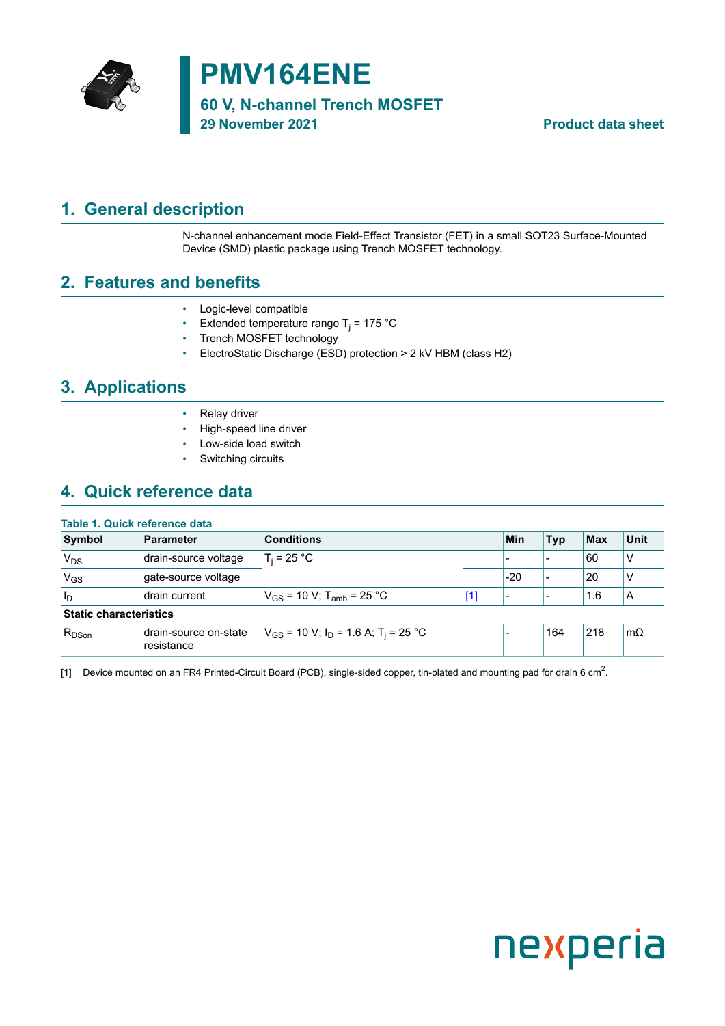

# **PMV164ENE**

**60 V, N-channel Trench MOSFET**

**29 November 2021 Product data sheet**

### <span id="page-0-1"></span>**1. General description**

<span id="page-0-0"></span>N-channel enhancement mode Field-Effect Transistor (FET) in a small SOT23 Surface-Mounted Device (SMD) plastic package using Trench MOSFET technology.

### <span id="page-0-2"></span>**2. Features and benefits**

- Logic-level compatible
- Extended temperature range T<sub>j</sub> = 175 °C
- Trench MOSFET technology
- ElectroStatic Discharge (ESD) protection > 2 kV HBM (class H2)

### <span id="page-0-3"></span>**3. Applications**

- Relay driver
- High-speed line driver
- Low-side load switch
- Switching circuits

### <span id="page-0-4"></span>**4. Quick reference data**

#### **Table 1. Quick reference data**

| Symbol                        | <b>Parameter</b>                    | <b>Conditions</b>                                               |       | Min   | <b>Typ</b> | <b>Max</b> | <b>Unit</b> |
|-------------------------------|-------------------------------------|-----------------------------------------------------------------|-------|-------|------------|------------|-------------|
| $V_{DS}$                      | drain-source voltage                | $T_i = 25 °C$                                                   |       |       |            | 60         | ν           |
| 'V <sub>GS</sub>              | gate-source voltage                 |                                                                 |       | $-20$ |            | 20         | ν           |
| ll <sub>D</sub>               | drain current                       | $V_{GS}$ = 10 V; T <sub>amb</sub> = 25 °C                       | $[1]$ |       |            | 1.6        | A           |
| <b>Static characteristics</b> |                                     |                                                                 |       |       |            |            |             |
| $R_{DSon}$                    | drain-source on-state<br>resistance | $V_{GS}$ = 10 V; I <sub>D</sub> = 1.6 A; T <sub>i</sub> = 25 °C |       |       | 164        | 218        | $m\Omega$   |

[1]  $\,$  Device mounted on an FR4 Printed-Circuit Board (PCB), single-sided copper, tin-plated and mounting pad for drain 6 cm $^2$ .

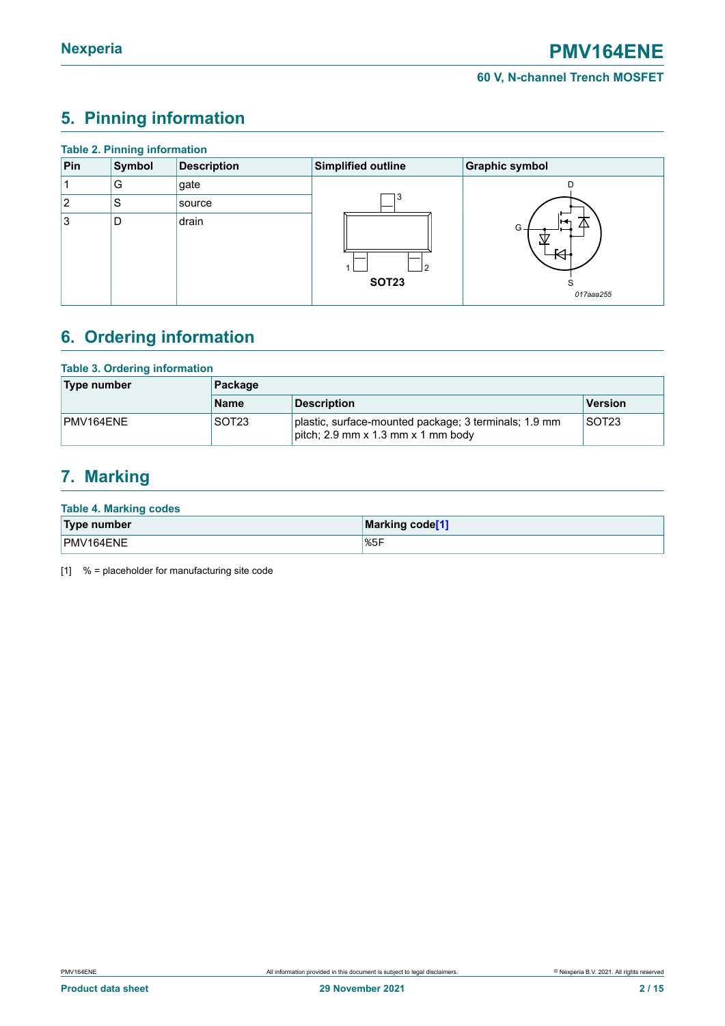## <span id="page-1-1"></span><span id="page-1-0"></span>**5. Pinning information**

| <b>Table 2. Pinning information</b> |        |                    |                    |                                |  |  |  |
|-------------------------------------|--------|--------------------|--------------------|--------------------------------|--|--|--|
| Pin                                 | Symbol | <b>Description</b> | Simplified outline | <b>Graphic symbol</b>          |  |  |  |
|                                     | G      | gate               |                    | D                              |  |  |  |
| 2                                   | .S     | source             | د.                 |                                |  |  |  |
| Ι3                                  | D      | drain              | 2<br><b>SOT23</b>  | ⊩⊷<br>△<br>G<br>S<br>017aaa255 |  |  |  |

### <span id="page-1-2"></span>**6. Ordering information**

| <b>Table 3. Ordering information</b> |             |                                                                                             |                   |  |  |  |
|--------------------------------------|-------------|---------------------------------------------------------------------------------------------|-------------------|--|--|--|
| Type number                          | Package     |                                                                                             |                   |  |  |  |
|                                      | <b>Name</b> | <b>Description</b>                                                                          | Version           |  |  |  |
| PMV164ENE                            | SOT23       | plastic, surface-mounted package; 3 terminals; 1.9 mm<br>pitch; 2.9 mm x 1.3 mm x 1 mm body | SOT <sub>23</sub> |  |  |  |

### <span id="page-1-3"></span>**7. Marking**

| Type number | Marking code <sup>[1]</sup> |
|-------------|-----------------------------|
| PMV164ENE   | 85F                         |

[1] % = placeholder for manufacturing site code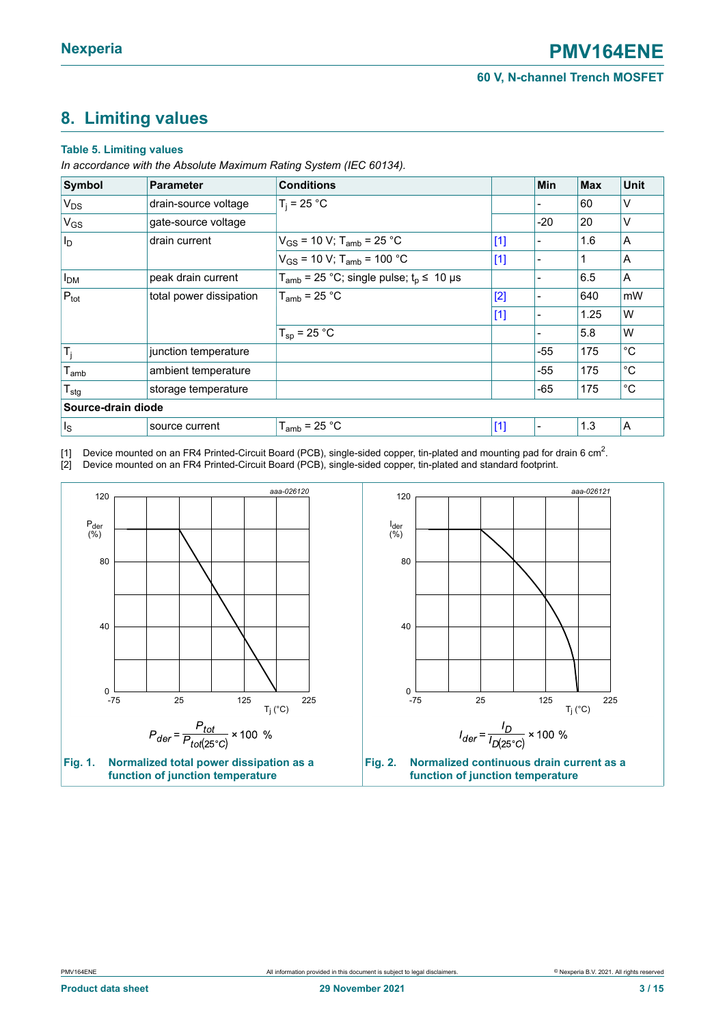### <span id="page-2-1"></span><span id="page-2-0"></span>**8. Limiting values**

#### **Table 5. Limiting values**

*In accordance with the Absolute Maximum Rating System (IEC 60134).*

| Symbol                | <b>Parameter</b>        | <b>Conditions</b>                                                 |       | <b>Min</b> | <b>Max</b> | <b>Unit</b> |
|-----------------------|-------------------------|-------------------------------------------------------------------|-------|------------|------------|-------------|
| $V_{DS}$              | drain-source voltage    | $T_i = 25 °C$                                                     |       |            | 60         | ٧           |
| <b>V<sub>GS</sub></b> | gate-source voltage     |                                                                   |       | $-20$      | 20         | ٧           |
| $ I_{\mathsf{D}} $    | drain current           | $V_{GS}$ = 10 V; T <sub>amb</sub> = 25 °C                         | $[1]$ |            | 1.6        | A           |
|                       |                         | $V_{GS}$ = 10 V; T <sub>amb</sub> = 100 °C                        | $[1]$ |            | 1          | A           |
| I <sub>DM</sub>       | peak drain current      | $T_{amb}$ = 25 °C; single pulse; $t_p \le 10 \text{ }\mu\text{s}$ |       |            | 6.5        | A           |
| $P_{\text{tot}}$      | total power dissipation | $T_{amb}$ = 25 °C                                                 | [2]   |            | 640        | mW          |
|                       |                         |                                                                   | $[1]$ |            | 1.25       | W           |
|                       |                         | $T_{sp}$ = 25 °C                                                  |       |            | 5.8        | W           |
| $T_j$                 | junction temperature    |                                                                   |       | $-55$      | 175        | °C          |
| $T_{amb}$             | ambient temperature     |                                                                   |       | $-55$      | 175        | °C          |
| $T_{\text{stg}}$      | storage temperature     |                                                                   |       | $-65$      | 175        | $^{\circ}C$ |
| Source-drain diode    |                         |                                                                   |       |            |            |             |
| $\vert$ <sub>s</sub>  | source current          | $T_{amb}$ = 25 °C                                                 | $[1]$ |            | 1.3        | A           |

[1]  $\,$  Device mounted on an FR4 Printed-Circuit Board (PCB), single-sided copper, tin-plated and mounting pad for drain 6 cm $^2$ . [2] Device mounted on an FR4 Printed-Circuit Board (PCB), single-sided copper, tin-plated and standard footprint.

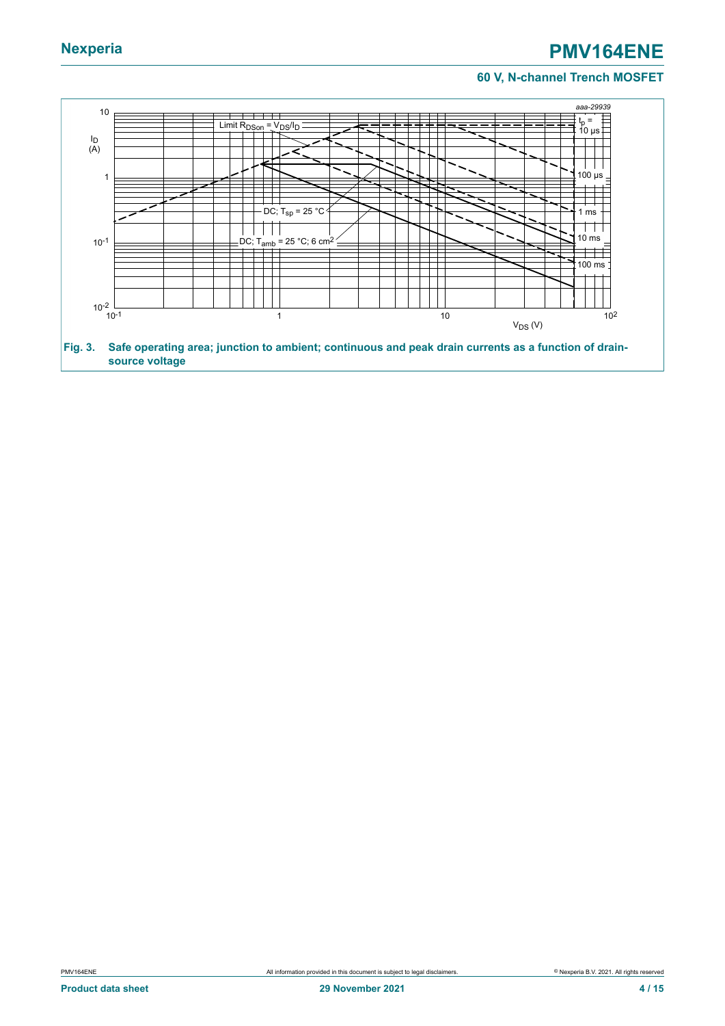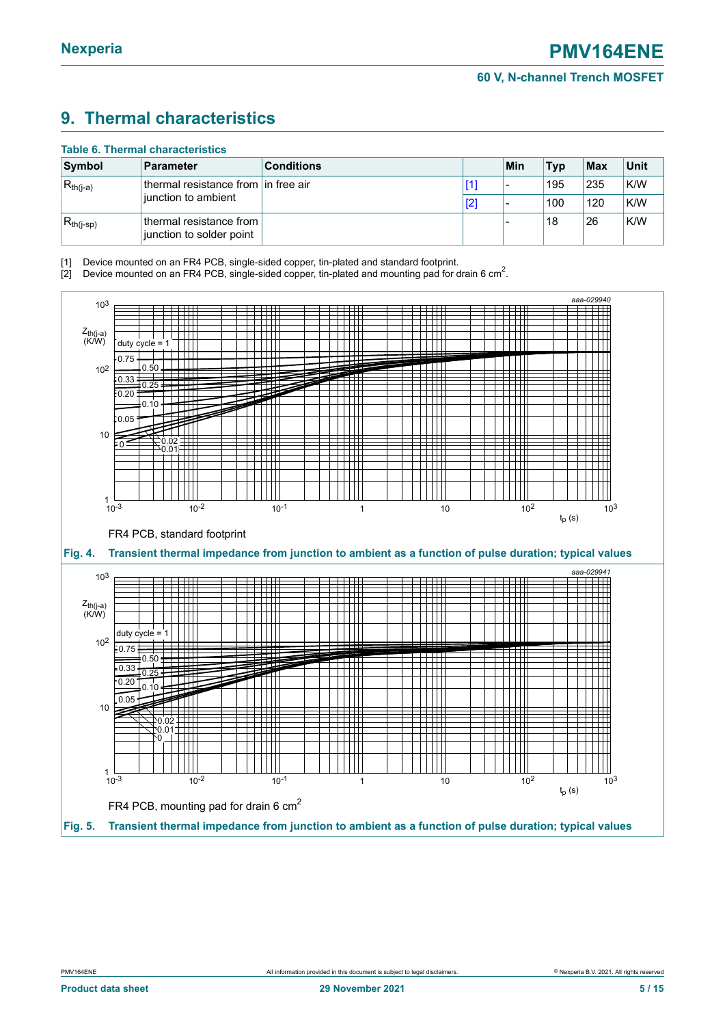### <span id="page-4-1"></span><span id="page-4-0"></span>**9. Thermal characteristics**

| <b>Table 6. Thermal characteristics</b> |                                                       |                                     |     |     |            |     |      |
|-----------------------------------------|-------------------------------------------------------|-------------------------------------|-----|-----|------------|-----|------|
| Symbol                                  | <b>Parameter</b>                                      | <b>Conditions</b>                   |     | Min | <b>Typ</b> | Max | Unit |
| $ R_{th(i-a)} $                         |                                                       | thermal resistance from in free air | [1] |     | 195        | 235 | K/W  |
|                                         | iunction to ambient                                   |                                     | [2] |     | 100        | 120 | K/W  |
| $ R_{th(i-sp)}$                         | thermal resistance from l<br>junction to solder point |                                     |     |     | 18         | 26  | K/W  |

[1] Device mounted on an FR4 PCB, single-sided copper, tin-plated and standard footprint.

[2] Device mounted on an FR4 PCB, single-sided copper, tin-plated and mounting pad for drain 6 cm<sup>2</sup>.

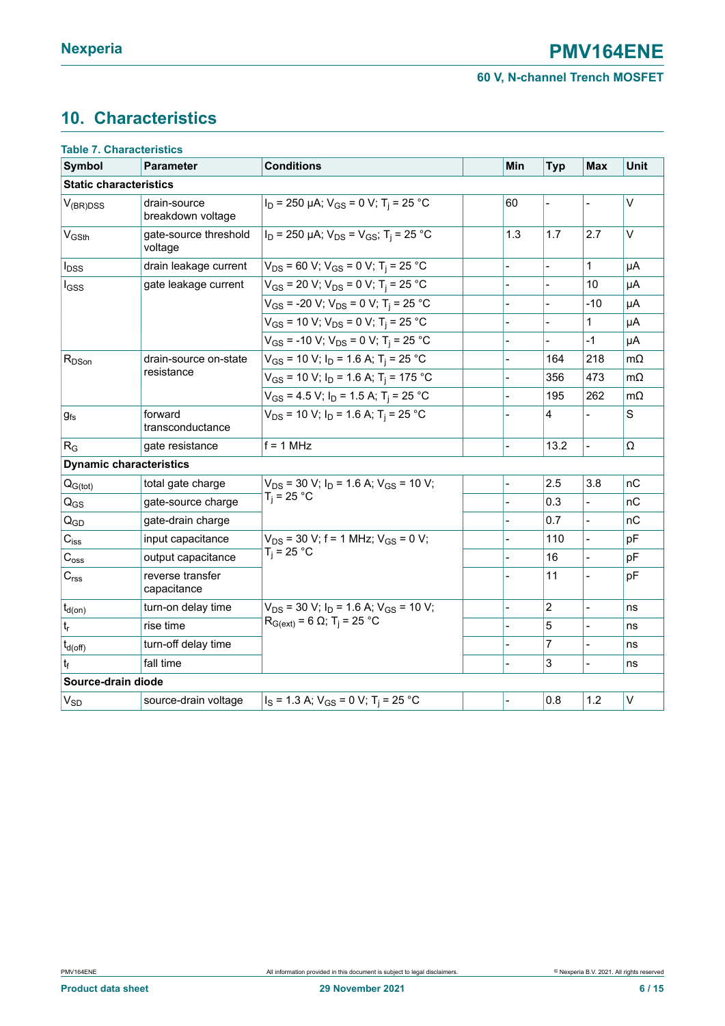## <span id="page-5-0"></span>**10. Characteristics**

| <b>Table 7. Characteristics</b> |                                   |                                                                  |                |                |                |             |
|---------------------------------|-----------------------------------|------------------------------------------------------------------|----------------|----------------|----------------|-------------|
| Symbol                          | <b>Parameter</b>                  | <b>Conditions</b>                                                | Min            | <b>Typ</b>     | <b>Max</b>     | <b>Unit</b> |
| <b>Static characteristics</b>   |                                   |                                                                  |                |                |                |             |
| $V_{(BR)DSS}$                   | drain-source<br>breakdown voltage | $I_D$ = 250 µA; $V_{GS}$ = 0 V; T <sub>i</sub> = 25 °C           | 60             |                |                | $\vee$      |
| $V_{\text{GSth}}$               | gate-source threshold<br>voltage  | $I_D$ = 250 µA; $V_{DS}$ = $V_{GS}$ ; T <sub>i</sub> = 25 °C     | 1.3            | 1.7            | 2.7            | V           |
| $I_{DSS}$                       | drain leakage current             | $V_{DS}$ = 60 V; V <sub>GS</sub> = 0 V; T <sub>i</sub> = 25 °C   |                |                | 1              | μA          |
| lgss                            | gate leakage current              | $V_{GS}$ = 20 V; $V_{DS}$ = 0 V; T <sub>i</sub> = 25 °C          |                |                | 10             | μA          |
|                                 |                                   | $V_{GS}$ = -20 V; $V_{DS}$ = 0 V; T <sub>i</sub> = 25 °C         |                |                | -10            | μA          |
|                                 |                                   | $V_{GS}$ = 10 V; $V_{DS}$ = 0 V; T <sub>i</sub> = 25 °C          |                |                | 1              | μA          |
|                                 |                                   | $V_{GS}$ = -10 V; V <sub>DS</sub> = 0 V; T <sub>j</sub> = 25 °C  |                |                | $-1$           | μA          |
| $R_{DSon}$                      | drain-source on-state             | $V_{GS}$ = 10 V; $I_D$ = 1.6 A; T <sub>i</sub> = 25 °C           |                | 164            | 218            | mΩ          |
|                                 | resistance                        | $V_{GS}$ = 10 V; $I_D$ = 1.6 A; T <sub>i</sub> = 175 °C          |                | 356            | 473            | $m\Omega$   |
|                                 |                                   | $V_{GS}$ = 4.5 V; I <sub>D</sub> = 1.5 A; T <sub>i</sub> = 25 °C |                | 195            | 262            | mΩ          |
| $g_{fs}$                        | forward<br>transconductance       | $V_{DS}$ = 10 V; $I_D$ = 1.6 A; T <sub>i</sub> = 25 °C           |                | 4              |                | S           |
| $R_G$                           | gate resistance                   | $f = 1$ MHz                                                      | $\overline{a}$ | 13.2           | $\overline{a}$ | Ω           |
|                                 | <b>Dynamic characteristics</b>    |                                                                  |                |                |                |             |
| $Q_{G(tot)}$                    | total gate charge                 | $V_{DS}$ = 30 V; $I_D$ = 1.6 A; $V_{GS}$ = 10 V;                 |                | 2.5            | 3.8            | nС          |
| $Q_{GS}$                        | gate-source charge                | $T_i = 25 °C$                                                    |                | 0.3            |                | nC          |
| $Q_{GD}$                        | gate-drain charge                 |                                                                  |                | 0.7            |                | nС          |
| $\mathbf{C}_{\text{iss}}$       | input capacitance                 | $V_{DS}$ = 30 V; f = 1 MHz; $V_{GS}$ = 0 V;                      |                | 110            |                | pF          |
| $C_{\rm oss}$                   | output capacitance                | $T_i = 25 °C$                                                    |                | 16             |                | pF          |
| $\mathbf{C}_{\text{rss}}$       | reverse transfer<br>capacitance   |                                                                  |                | 11             |                | pF          |
| $t_{d(on)}$                     | turn-on delay time                | $V_{DS}$ = 30 V; $I_D$ = 1.6 A; $V_{GS}$ = 10 V;                 |                | $\overline{2}$ | $\overline{a}$ | ns          |
| $t_{\sf r}$                     | rise time                         | $R_{G(ext)} = 6 \Omega$ ; T <sub>i</sub> = 25 °C                 |                | 5              |                | ns          |
| $t_{d(\text{off})}$             | turn-off delay time               |                                                                  |                | 7              | $\overline{a}$ | ns          |
| $t_{\rm f}$                     | fall time                         |                                                                  |                | 3              | $\overline{a}$ | ns          |
| Source-drain diode              |                                   |                                                                  |                |                |                |             |
| V <sub>SD</sub>                 | source-drain voltage              | $I_S = 1.3$ A; $V_{GS} = 0$ V; T <sub>i</sub> = 25 °C            |                | 0.8            | 1.2            | V           |
|                                 |                                   |                                                                  |                |                |                |             |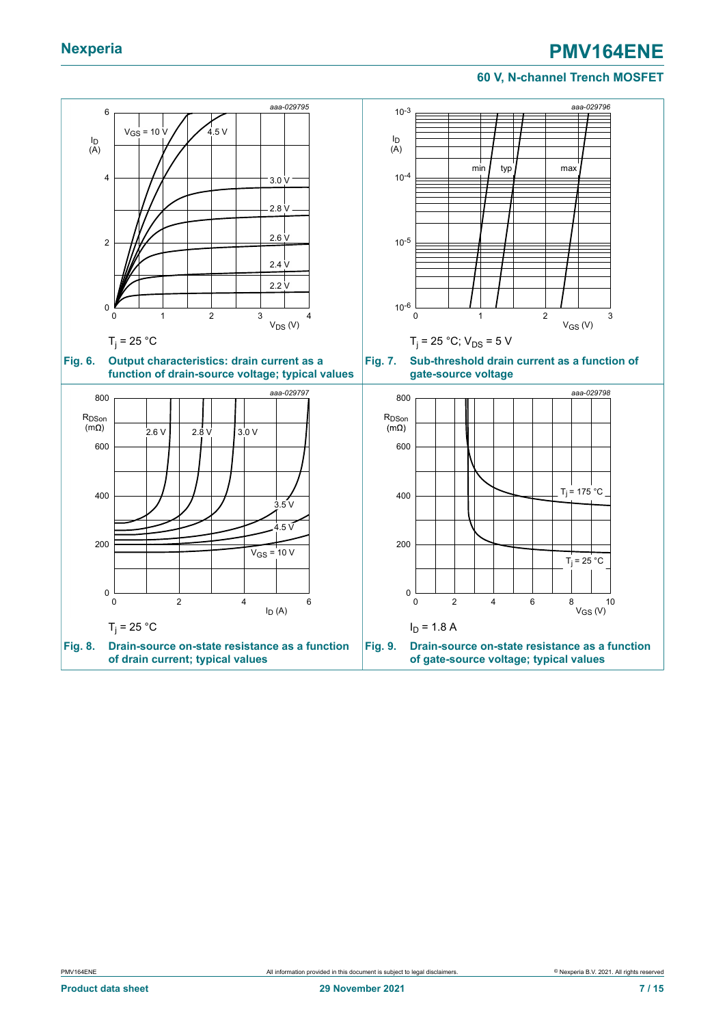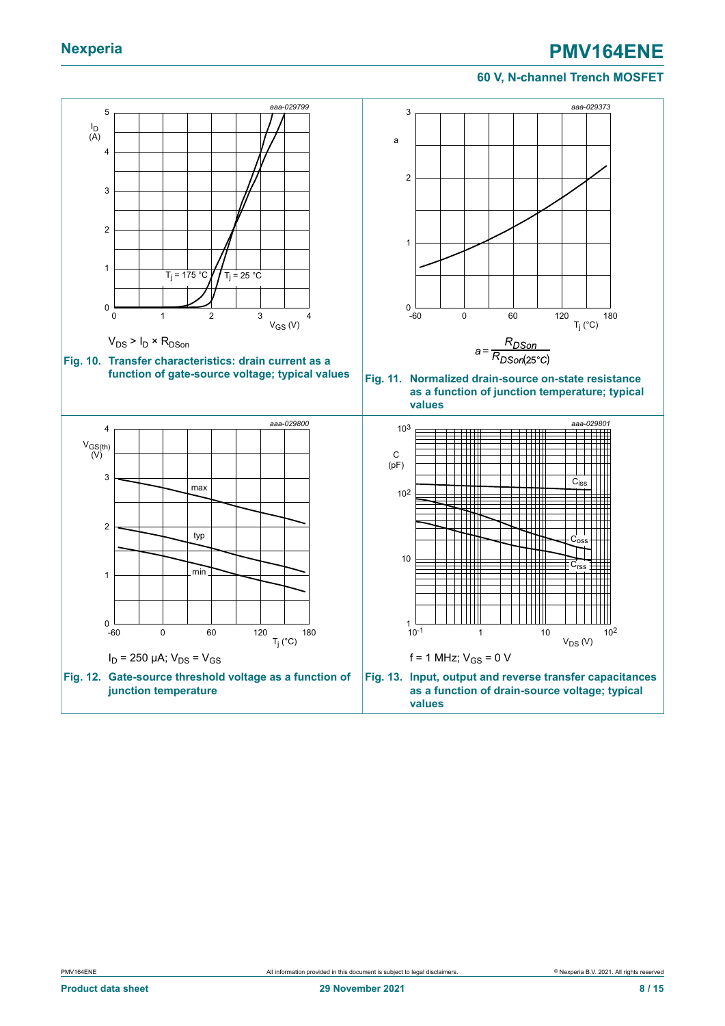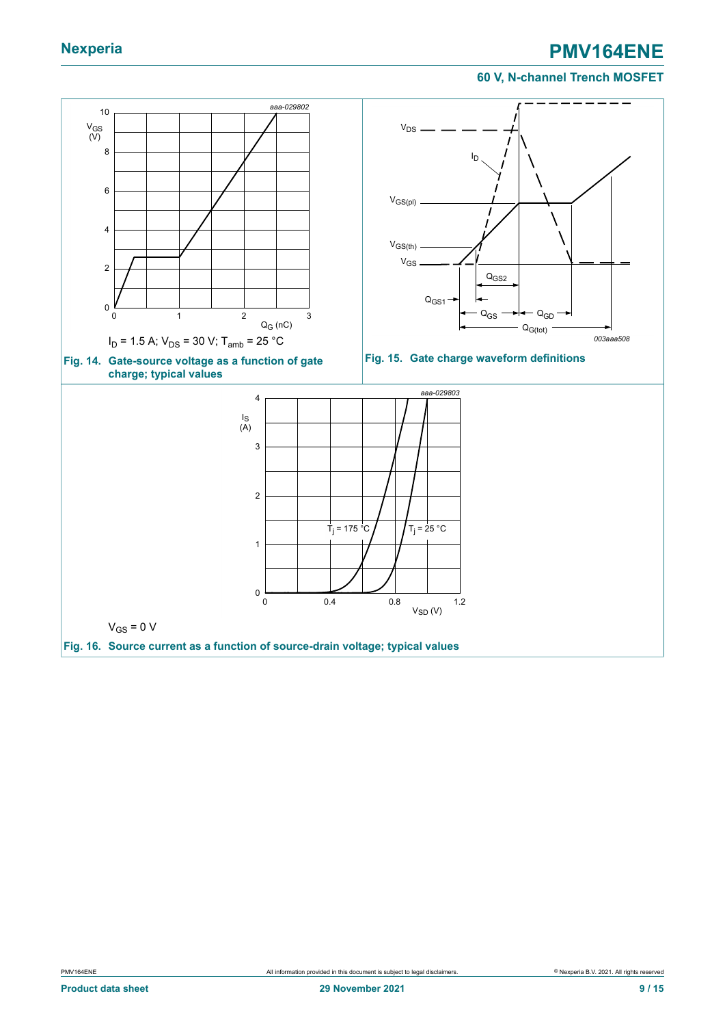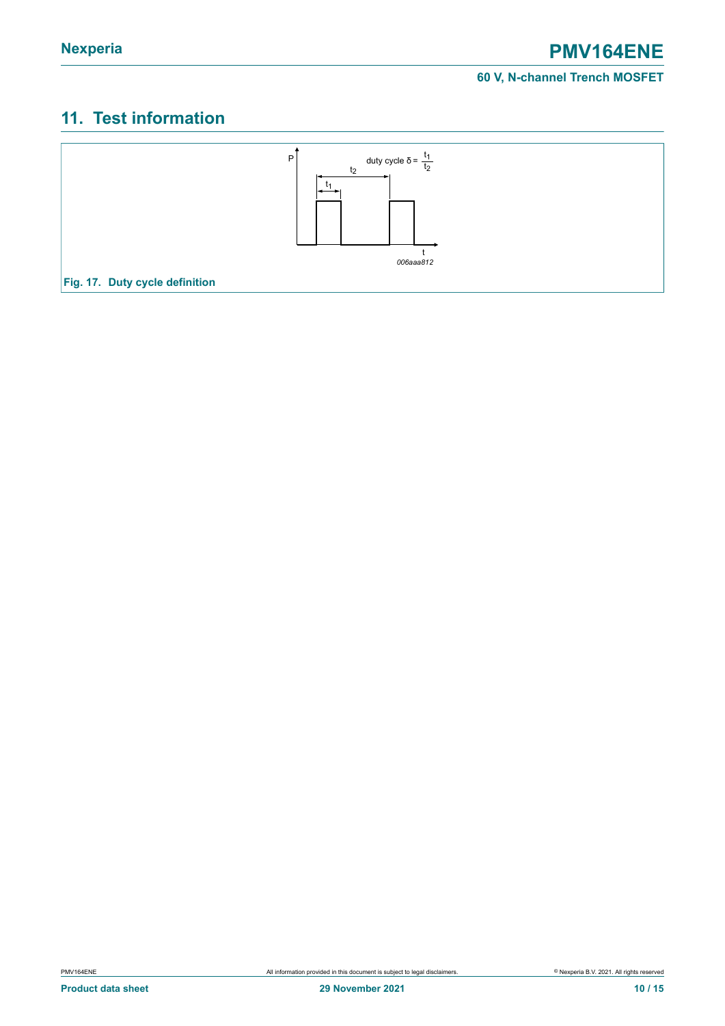## <span id="page-9-0"></span>**11. Test information**

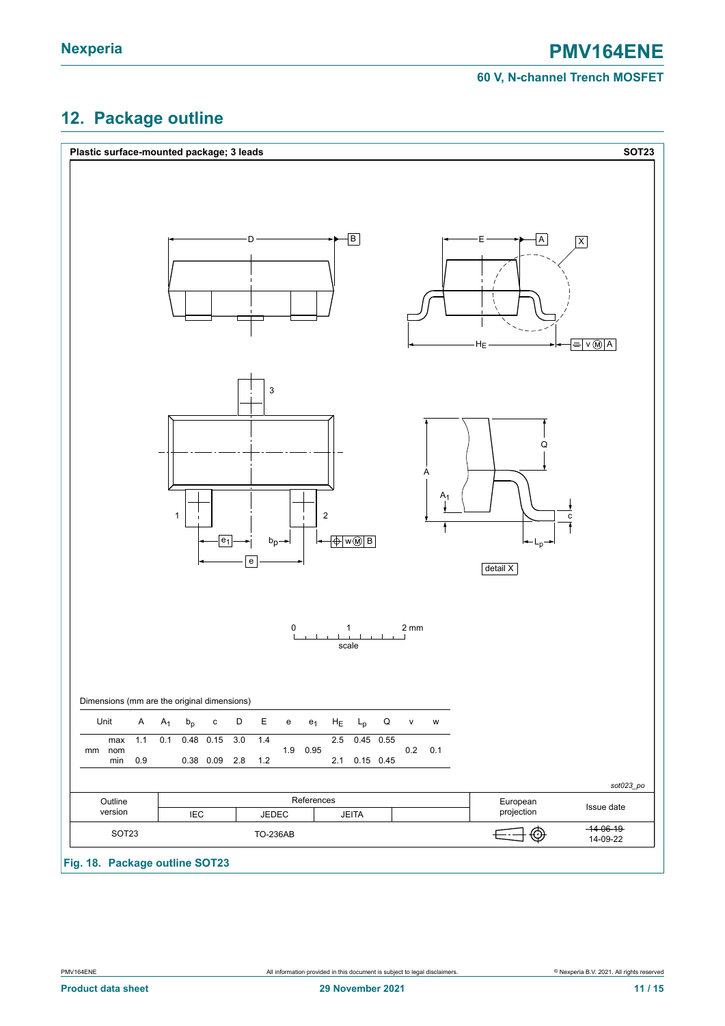### <span id="page-10-0"></span>**12. Package outline**

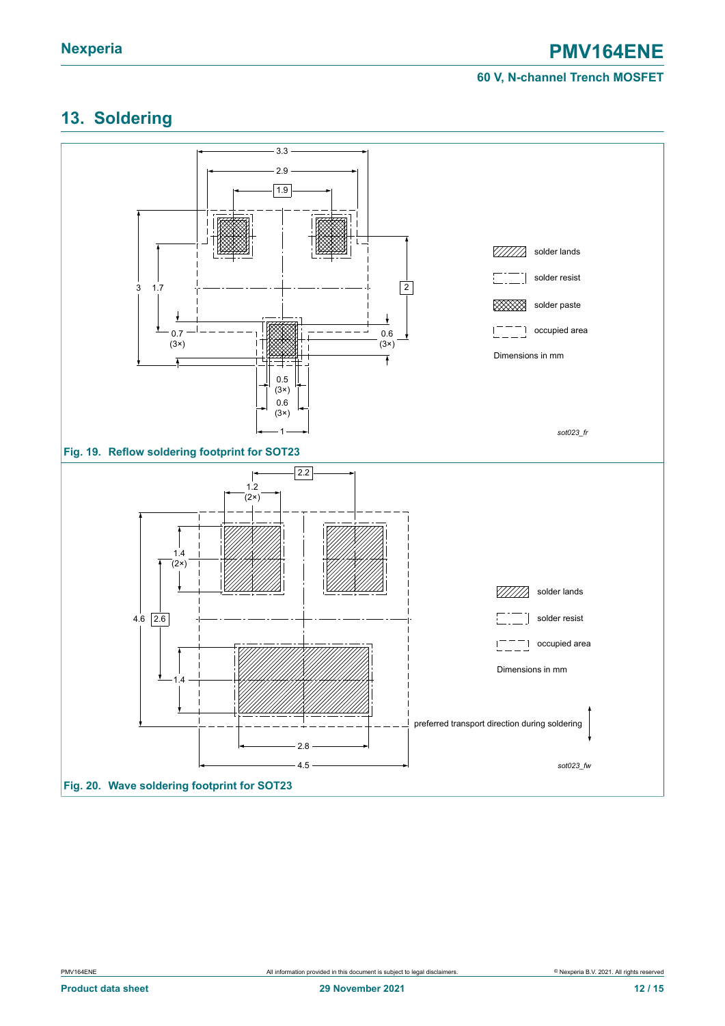## <span id="page-11-0"></span>**13. Soldering**

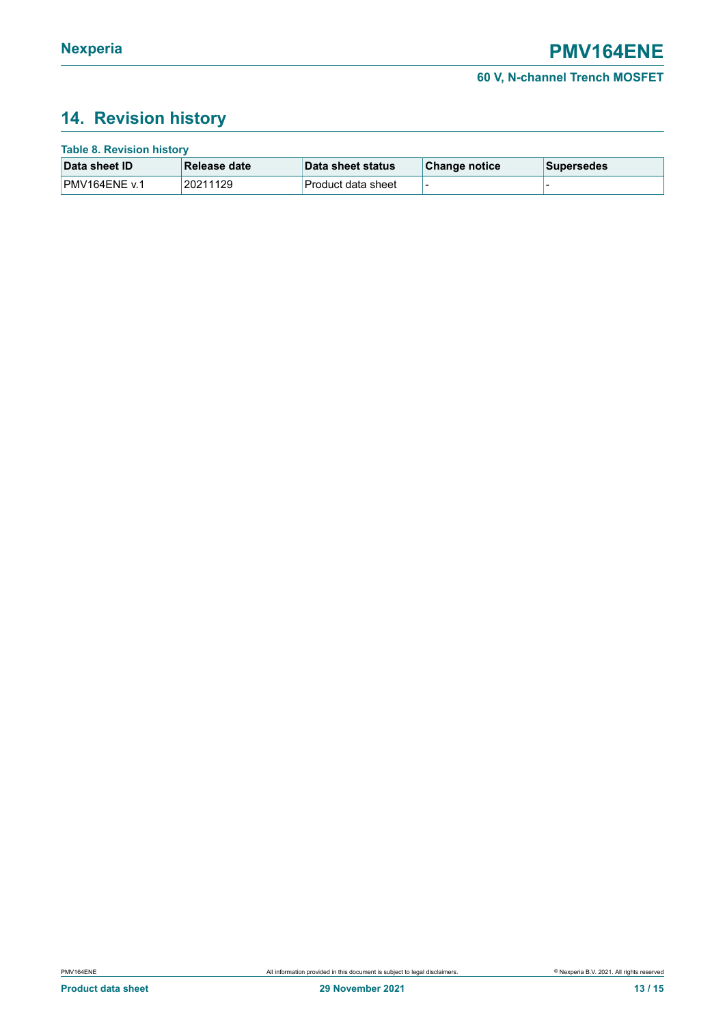## <span id="page-12-0"></span>**14. Revision history**

| <b>Table 8. Revision history</b> |               |                    |               |             |  |  |
|----------------------------------|---------------|--------------------|---------------|-------------|--|--|
| Data sheet ID                    | ∣Release date | ⊺Data sheet status | Change notice | ∣Supersedes |  |  |
| PMV164ENE v.1                    | 20211129      | Product data sheet |               |             |  |  |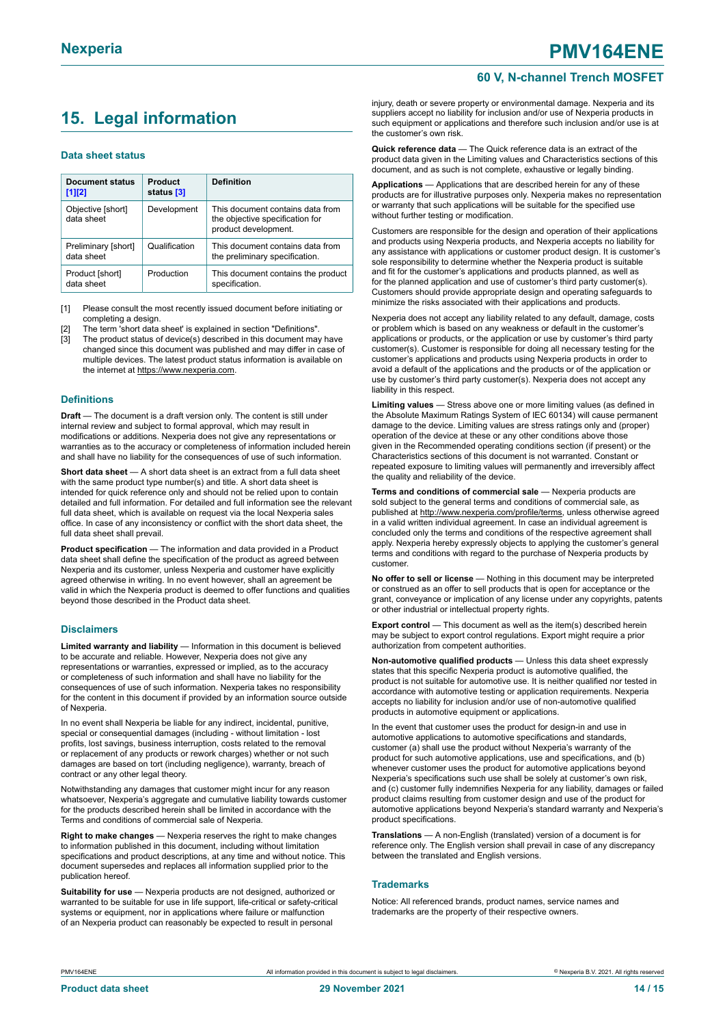### <span id="page-13-0"></span>**15. Legal information**

#### **Data sheet status**

| Document status<br>$[1]$ [2]      | <b>Product</b><br>status [3] | <b>Definition</b>                                                                           |
|-----------------------------------|------------------------------|---------------------------------------------------------------------------------------------|
| Objective [short]<br>data sheet   | Development                  | This document contains data from<br>the objective specification for<br>product development. |
| Preliminary [short]<br>data sheet | Qualification                | This document contains data from<br>the preliminary specification.                          |
| Product [short]<br>data sheet     | Production                   | This document contains the product<br>specification.                                        |

[1] Please consult the most recently issued document before initiating or completing a design.

- The term 'short data sheet' is explained in section "Definitions".
- [3] The product status of device(s) described in this document may have changed since this document was published and may differ in case of multiple devices. The latest product status information is available on the internet at [https://www.nexperia.com.](https://www.nexperia.com)

#### **Definitions**

**Draft** — The document is a draft version only. The content is still under internal review and subject to formal approval, which may result in modifications or additions. Nexperia does not give any representations or warranties as to the accuracy or completeness of information included herein and shall have no liability for the consequences of use of such information.

**Short data sheet** — A short data sheet is an extract from a full data sheet with the same product type number(s) and title. A short data sheet is intended for quick reference only and should not be relied upon to contain detailed and full information. For detailed and full information see the relevant full data sheet, which is available on request via the local Nexperia sales office. In case of any inconsistency or conflict with the short data sheet, the full data sheet shall prevail.

**Product specification** — The information and data provided in a Product data sheet shall define the specification of the product as agreed between Nexperia and its customer, unless Nexperia and customer have explicitly agreed otherwise in writing. In no event however, shall an agreement be valid in which the Nexperia product is deemed to offer functions and qualities beyond those described in the Product data sheet.

#### **Disclaimers**

**Limited warranty and liability** — Information in this document is believed to be accurate and reliable. However, Nexperia does not give any representations or warranties, expressed or implied, as to the accuracy or completeness of such information and shall have no liability for the consequences of use of such information. Nexperia takes no responsibility for the content in this document if provided by an information source outside of Nexperia.

In no event shall Nexperia be liable for any indirect, incidental, punitive, special or consequential damages (including - without limitation - lost profits, lost savings, business interruption, costs related to the removal or replacement of any products or rework charges) whether or not such damages are based on tort (including negligence), warranty, breach of contract or any other legal theory.

Notwithstanding any damages that customer might incur for any reason whatsoever, Nexperia's aggregate and cumulative liability towards customer for the products described herein shall be limited in accordance with the Terms and conditions of commercial sale of Nexperia.

**Right to make changes** — Nexperia reserves the right to make changes to information published in this document, including without limitation specifications and product descriptions, at any time and without notice. This document supersedes and replaces all information supplied prior to the publication hereof

**Suitability for use** — Nexperia products are not designed, authorized or warranted to be suitable for use in life support, life-critical or safety-critical systems or equipment, nor in applications where failure or malfunction of an Nexperia product can reasonably be expected to result in personal

injury, death or severe property or environmental damage. Nexperia and its suppliers accept no liability for inclusion and/or use of Nexperia products in such equipment or applications and therefore such inclusion and/or use is at the customer's own risk.

**Quick reference data** — The Quick reference data is an extract of the product data given in the Limiting values and Characteristics sections of this document, and as such is not complete, exhaustive or legally binding.

**Applications** — Applications that are described herein for any of these products are for illustrative purposes only. Nexperia makes no representation or warranty that such applications will be suitable for the specified use without further testing or modification.

Customers are responsible for the design and operation of their applications and products using Nexperia products, and Nexperia accepts no liability for any assistance with applications or customer product design. It is customer's sole responsibility to determine whether the Nexperia product is suitable and fit for the customer's applications and products planned, as well as for the planned application and use of customer's third party customer(s). Customers should provide appropriate design and operating safeguards to minimize the risks associated with their applications and products.

Nexperia does not accept any liability related to any default, damage, costs or problem which is based on any weakness or default in the customer's applications or products, or the application or use by customer's third party customer(s). Customer is responsible for doing all necessary testing for the customer's applications and products using Nexperia products in order to avoid a default of the applications and the products or of the application or use by customer's third party customer(s). Nexperia does not accept any liability in this respect.

**Limiting values** — Stress above one or more limiting values (as defined in the Absolute Maximum Ratings System of IEC 60134) will cause permanent damage to the device. Limiting values are stress ratings only and (proper) operation of the device at these or any other conditions above those given in the Recommended operating conditions section (if present) or the Characteristics sections of this document is not warranted. Constant or repeated exposure to limiting values will permanently and irreversibly affect the quality and reliability of the device.

**Terms and conditions of commercial sale** — Nexperia products are sold subject to the general terms and conditions of commercial sale, as published at [http://www.nexperia.com/profile/terms,](http://www.nexperia.com/profile/terms) unless otherwise agreed in a valid written individual agreement. In case an individual agreement is concluded only the terms and conditions of the respective agreement shall apply. Nexperia hereby expressly objects to applying the customer's general terms and conditions with regard to the purchase of Nexperia products by customer.

**No offer to sell or license** — Nothing in this document may be interpreted or construed as an offer to sell products that is open for acceptance or the grant, conveyance or implication of any license under any copyrights, patents or other industrial or intellectual property rights.

**Export control** — This document as well as the item(s) described herein may be subject to export control regulations. Export might require a prior authorization from competent authorities.

**Non-automotive qualified products** — Unless this data sheet expressly states that this specific Nexperia product is automotive qualified, the product is not suitable for automotive use. It is neither qualified nor tested in accordance with automotive testing or application requirements. Nexperia accepts no liability for inclusion and/or use of non-automotive qualified products in automotive equipment or applications.

In the event that customer uses the product for design-in and use in automotive applications to automotive specifications and standards, customer (a) shall use the product without Nexperia's warranty of the product for such automotive applications, use and specifications, and (b) whenever customer uses the product for automotive applications beyond Nexperia's specifications such use shall be solely at customer's own risk, and (c) customer fully indemnifies Nexperia for any liability, damages or failed product claims resulting from customer design and use of the product for automotive applications beyond Nexperia's standard warranty and Nexperia's product specifications.

**Translations** — A non-English (translated) version of a document is for reference only. The English version shall prevail in case of any discrepancy between the translated and English versions.

#### **Trademarks**

Notice: All referenced brands, product names, service names and trademarks are the property of their respective owners.